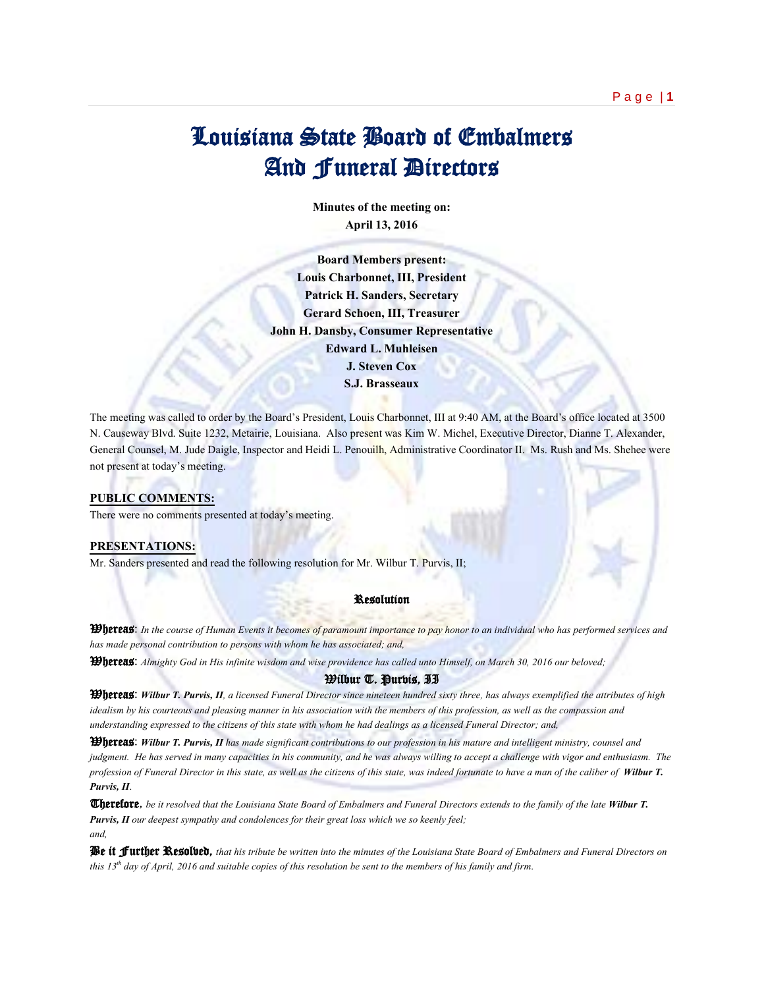# Louisiana State Board of Embalmers And Funeral Directors

**Minutes of the meeting on: April 13, 2016**

**Board Members present: Louis Charbonnet, III, President Patrick H. Sanders, Secretary Gerard Schoen, III, Treasurer John H. Dansby, Consumer Representative Edward L. Muhleisen J. Steven Cox S.J. Brasseaux**

The meeting was called to order by the Board's President, Louis Charbonnet, III at 9:40 AM, at the Board's office located at 3500 N. Causeway Blvd. Suite 1232, Metairie, Louisiana. Also present was Kim W. Michel, Executive Director, Dianne T. Alexander, General Counsel, M. Jude Daigle, Inspector and Heidi L. Penouilh, Administrative Coordinator II. Ms. Rush and Ms. Shehee were not present at today's meeting.

## **PUBLIC COMMENTS:**

There were no comments presented at today's meeting.

## **PRESENTATIONS:**

Mr. Sanders presented and read the following resolution for Mr. Wilbur T. Purvis, II;

#### Resolution

Whereas: *In the course of Human Events it becomes of paramount importance to pay honor to an individual who has performed services and has made personal contribution to persons with whom he has associated; and,* 

Whereas: *Almighty God in His infinite wisdom and wise providence has called unto Himself, on March 30, 2016 our beloved;*

## Wilbur T. Purvis, II

Whereas: *Wilbur T. Purvis, II, a licensed Funeral Director since nineteen hundred sixty three, has always exemplified the attributes of high idealism by his courteous and pleasing manner in his association with the members of this profession, as well as the compassion and understanding expressed to the citizens of this state with whom he had dealings as a licensed Funeral Director; and,*

Whereas: *Wilbur T. Purvis, II has made significant contributions to our profession in his mature and intelligent ministry, counsel and judgment. He has served in many capacities in his community, and he was always willing to accept a challenge with vigor and enthusiasm. The profession of Funeral Director in this state, as well as the citizens of this state, was indeed fortunate to have a man of the caliber of Wilbur T. Purvis, II*.

Therefore, *be it resolved that the Louisiana State Board of Embalmers and Funeral Directors extends to the family of the late Wilbur T. Purvis, II our deepest sympathy and condolences for their great loss which we so keenly feel; and,*

Be it Further Resolved, *that his tribute be written into the minutes of the Louisiana State Board of Embalmers and Funeral Directors on this 13th day of April, 2016 and suitable copies of this resolution be sent to the members of his family and firm*.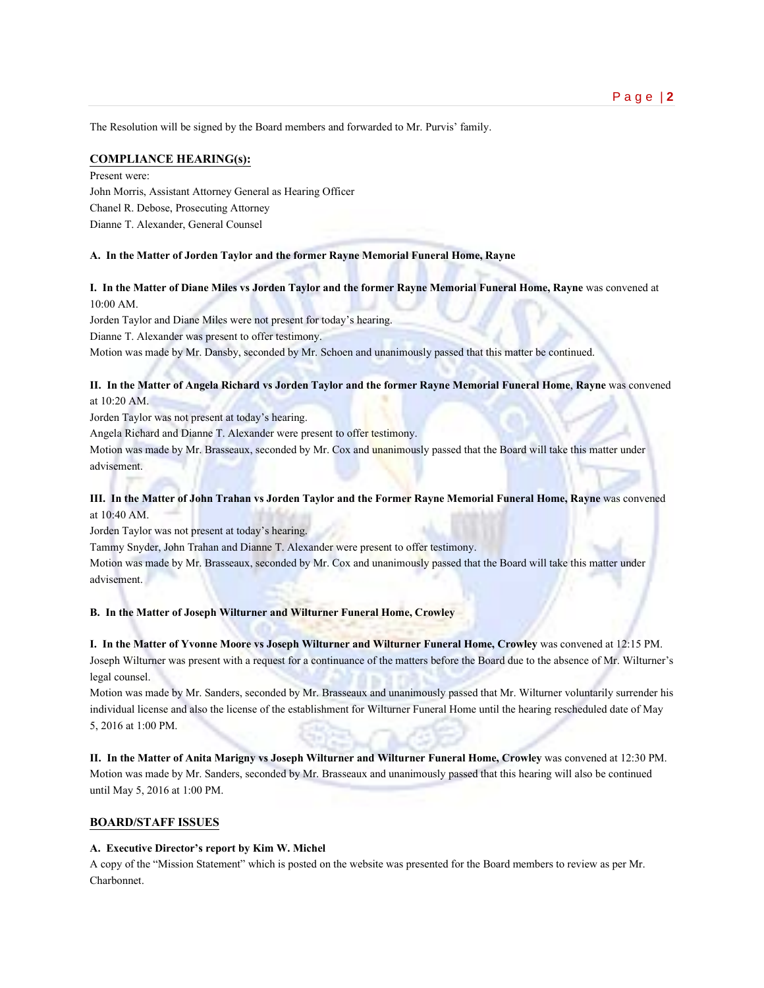The Resolution will be signed by the Board members and forwarded to Mr. Purvis' family.

## **COMPLIANCE HEARING(s):**

Present were: John Morris, Assistant Attorney General as Hearing Officer Chanel R. Debose, Prosecuting Attorney Dianne T. Alexander, General Counsel

#### **A. In the Matter of Jorden Taylor and the former Rayne Memorial Funeral Home, Rayne**

**I. In the Matter of Diane Miles vs Jorden Taylor and the former Rayne Memorial Funeral Home, Rayne** was convened at 10:00 AM.

Jorden Taylor and Diane Miles were not present for today's hearing.

Dianne T. Alexander was present to offer testimony.

Motion was made by Mr. Dansby, seconded by Mr. Schoen and unanimously passed that this matter be continued.

## **II. In the Matter of Angela Richard vs Jorden Taylor and the former Rayne Memorial Funeral Home**, **Rayne** was convened at 10:20 AM.

Jorden Taylor was not present at today's hearing.

Angela Richard and Dianne T. Alexander were present to offer testimony.

Motion was made by Mr. Brasseaux, seconded by Mr. Cox and unanimously passed that the Board will take this matter under advisement.

# **III. In the Matter of John Trahan vs Jorden Taylor and the Former Rayne Memorial Funeral Home, Rayne** was convened at 10:40 AM.

Jorden Taylor was not present at today's hearing.

Tammy Snyder, John Trahan and Dianne T. Alexander were present to offer testimony.

Motion was made by Mr. Brasseaux, seconded by Mr. Cox and unanimously passed that the Board will take this matter under advisement.

**B. In the Matter of Joseph Wilturner and Wilturner Funeral Home, Crowley**

**I. In the Matter of Yvonne Moore vs Joseph Wilturner and Wilturner Funeral Home, Crowley** was convened at 12:15 PM. Joseph Wilturner was present with a request for a continuance of the matters before the Board due to the absence of Mr. Wilturner's legal counsel.

Motion was made by Mr. Sanders, seconded by Mr. Brasseaux and unanimously passed that Mr. Wilturner voluntarily surrender his individual license and also the license of the establishment for Wilturner Funeral Home until the hearing rescheduled date of May 5, 2016 at 1:00 PM.

**II. In the Matter of Anita Marigny vs Joseph Wilturner and Wilturner Funeral Home, Crowley** was convened at 12:30 PM. Motion was made by Mr. Sanders, seconded by Mr. Brasseaux and unanimously passed that this hearing will also be continued until May 5, 2016 at 1:00 PM.

#### **BOARD/STAFF ISSUES**

#### **A. Executive Director's report by Kim W. Michel**

A copy of the "Mission Statement" which is posted on the website was presented for the Board members to review as per Mr. Charbonnet.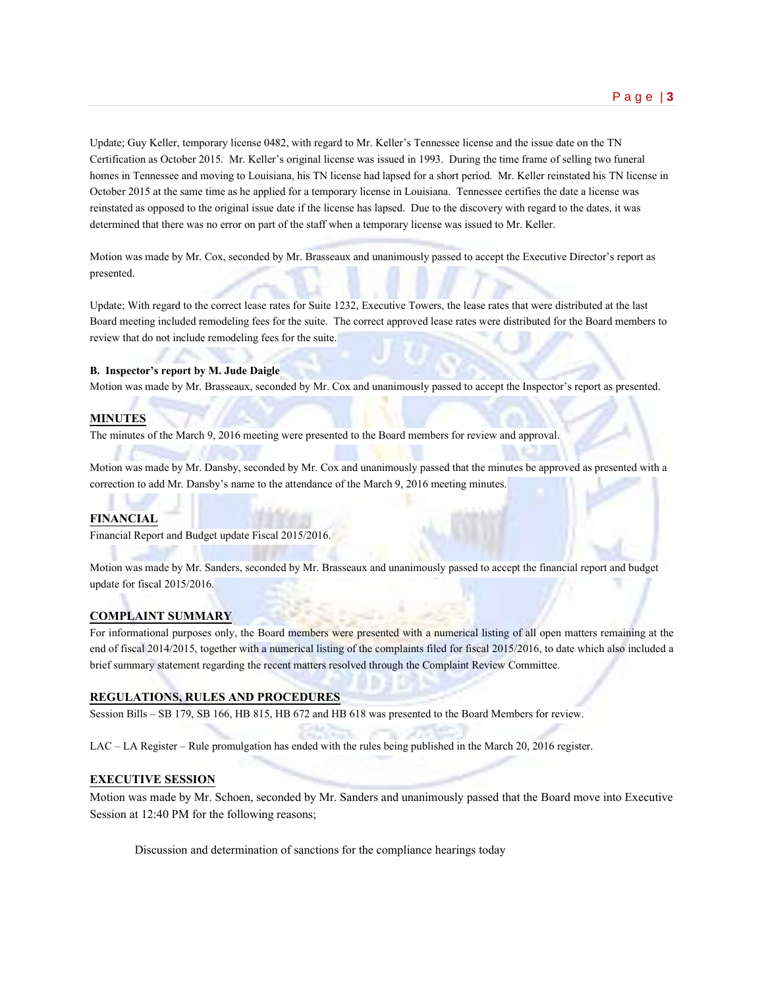Update; Guy Keller, temporary license 0482, with regard to Mr. Keller's Tennessee license and the issue date on the TN Certification as October 2015. Mr. Keller's original license was issued in 1993. During the time frame of selling two funeral homes in Tennessee and moving to Louisiana, his TN license had lapsed for a short period. Mr. Keller reinstated his TN license in October 2015 at the same time as he applied for a temporary license in Louisiana. Tennessee certifies the date a license was reinstated as opposed to the original issue date if the license has lapsed. Due to the discovery with regard to the dates, it was determined that there was no error on part of the staff when a temporary license was issued to Mr. Keller.

Motion was made by Mr. Cox, seconded by Mr. Brasseaux and unanimously passed to accept the Executive Director's report as presented.

Update; With regard to the correct lease rates for Suite 1232, Executive Towers, the lease rates that were distributed at the last Board meeting included remodeling fees for the suite. The correct approved lease rates were distributed for the Board members to review that do not include remodeling fees for the suite.

#### **B. Inspector's report by M. Jude Daigle**

Motion was made by Mr. Brasseaux, seconded by Mr. Cox and unanimously passed to accept the Inspector's report as presented.

#### **MINUTES**

The minutes of the March 9, 2016 meeting were presented to the Board members for review and approval.

Motion was made by Mr. Dansby, seconded by Mr. Cox and unanimously passed that the minutes be approved as presented with a correction to add Mr. Dansby's name to the attendance of the March 9, 2016 meeting minutes.

### **FINANCIAL**

Financial Report and Budget update Fiscal 2015/2016.

Motion was made by Mr. Sanders, seconded by Mr. Brasseaux and unanimously passed to accept the financial report and budget update for fiscal 2015/2016.

#### **COMPLAINT SUMMARY**

For informational purposes only, the Board members were presented with a numerical listing of all open matters remaining at the end of fiscal 2014/2015, together with a numerical listing of the complaints filed for fiscal 2015/2016, to date which also included a brief summary statement regarding the recent matters resolved through the Complaint Review Committee.

#### **REGULATIONS, RULES AND PROCEDURES**

Session Bills – SB 179, SB 166, HB 815, HB 672 and HB 618 was presented to the Board Members for review.

LAC – LA Register – Rule promulgation has ended with the rules being published in the March 20, 2016 register.

#### **EXECUTIVE SESSION**

Motion was made by Mr. Schoen, seconded by Mr. Sanders and unanimously passed that the Board move into Executive Session at 12:40 PM for the following reasons;

Discussion and determination of sanctions for the compliance hearings today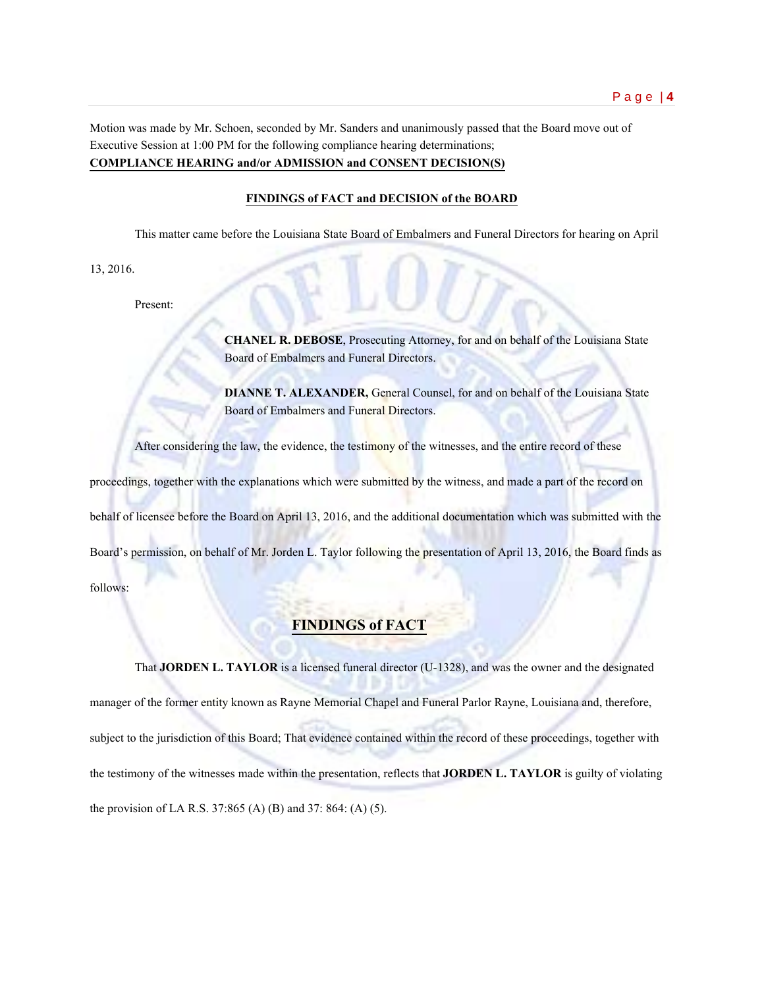Motion was made by Mr. Schoen, seconded by Mr. Sanders and unanimously passed that the Board move out of Executive Session at 1:00 PM for the following compliance hearing determinations; **COMPLIANCE HEARING and/or ADMISSION and CONSENT DECISION(S)**

# **FINDINGS of FACT and DECISION of the BOARD**

This matter came before the Louisiana State Board of Embalmers and Funeral Directors for hearing on April

13, 2016.

Present:

**CHANEL R. DEBOSE**, Prosecuting Attorney, for and on behalf of the Louisiana State Board of Embalmers and Funeral Directors.

**DIANNE T. ALEXANDER, General Counsel, for and on behalf of the Louisiana State** Board of Embalmers and Funeral Directors.

After considering the law, the evidence, the testimony of the witnesses, and the entire record of these

proceedings, together with the explanations which were submitted by the witness, and made a part of the record on

behalf of licensee before the Board on April 13, 2016, and the additional documentation which was submitted with the

Board's permission, on behalf of Mr. Jorden L. Taylor following the presentation of April 13, 2016, the Board finds as follows:

# **FINDINGS of FACT**

That **JORDEN L. TAYLOR** is a licensed funeral director (U-1328), and was the owner and the designated manager of the former entity known as Rayne Memorial Chapel and Funeral Parlor Rayne, Louisiana and, therefore, subject to the jurisdiction of this Board; That evidence contained within the record of these proceedings, together with the testimony of the witnesses made within the presentation, reflects that **JORDEN L. TAYLOR** is guilty of violating the provision of LA R.S. 37:865 (A) (B) and 37: 864: (A) (5).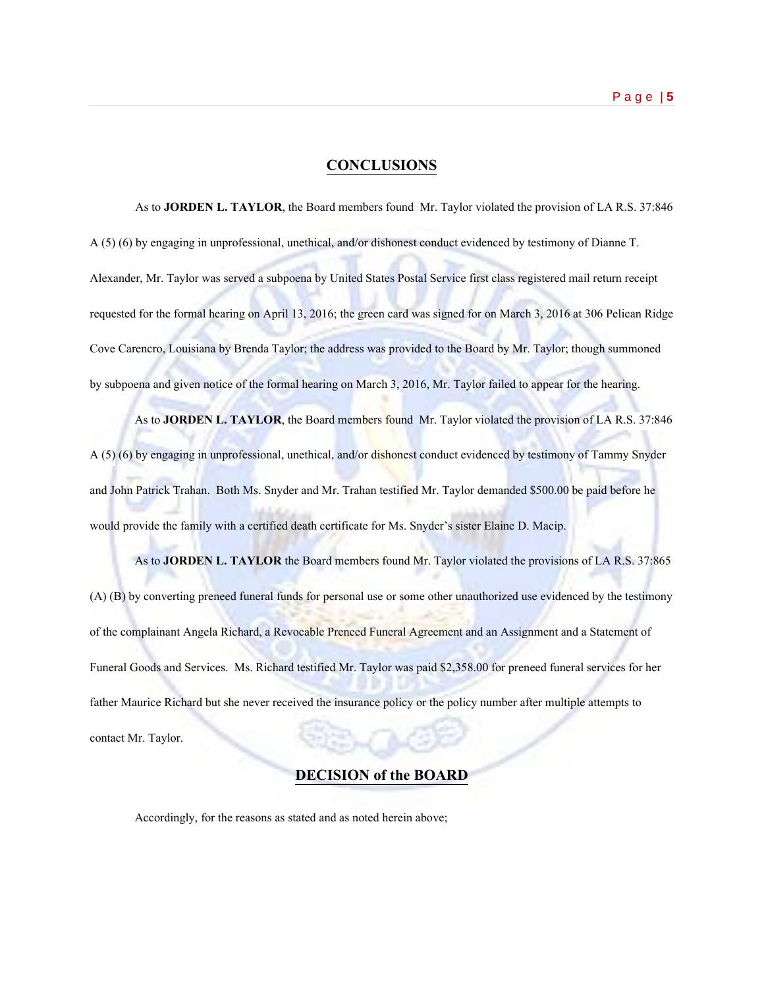# **CONCLUSIONS**

As to **JORDEN L. TAYLOR**, the Board members found Mr. Taylor violated the provision of LA R.S. 37:846 A (5) (6) by engaging in unprofessional, unethical, and/or dishonest conduct evidenced by testimony of Dianne T. Alexander, Mr. Taylor was served a subpoena by United States Postal Service first class registered mail return receipt requested for the formal hearing on April 13, 2016; the green card was signed for on March 3, 2016 at 306 Pelican Ridge Cove Carencro, Louisiana by Brenda Taylor; the address was provided to the Board by Mr. Taylor; though summoned by subpoena and given notice of the formal hearing on March 3, 2016, Mr. Taylor failed to appear for the hearing.

As to **JORDEN L. TAYLOR**, the Board members found Mr. Taylor violated the provision of LA R.S. 37:846 A (5) (6) by engaging in unprofessional, unethical, and/or dishonest conduct evidenced by testimony of Tammy Snyder and John Patrick Trahan. Both Ms. Snyder and Mr. Trahan testified Mr. Taylor demanded \$500.00 be paid before he would provide the family with a certified death certificate for Ms. Snyder's sister Elaine D. Macip.

As to **JORDEN L. TAYLOR** the Board members found Mr. Taylor violated the provisions of LA R.S. 37:865 (A) (B) by converting preneed funeral funds for personal use or some other unauthorized use evidenced by the testimony of the complainant Angela Richard, a Revocable Preneed Funeral Agreement and an Assignment and a Statement of Funeral Goods and Services. Ms. Richard testified Mr. Taylor was paid \$2,358.00 for preneed funeral services for her father Maurice Richard but she never received the insurance policy or the policy number after multiple attempts to contact Mr. Taylor.

# **DECISION of the BOARD**

Accordingly, for the reasons as stated and as noted herein above;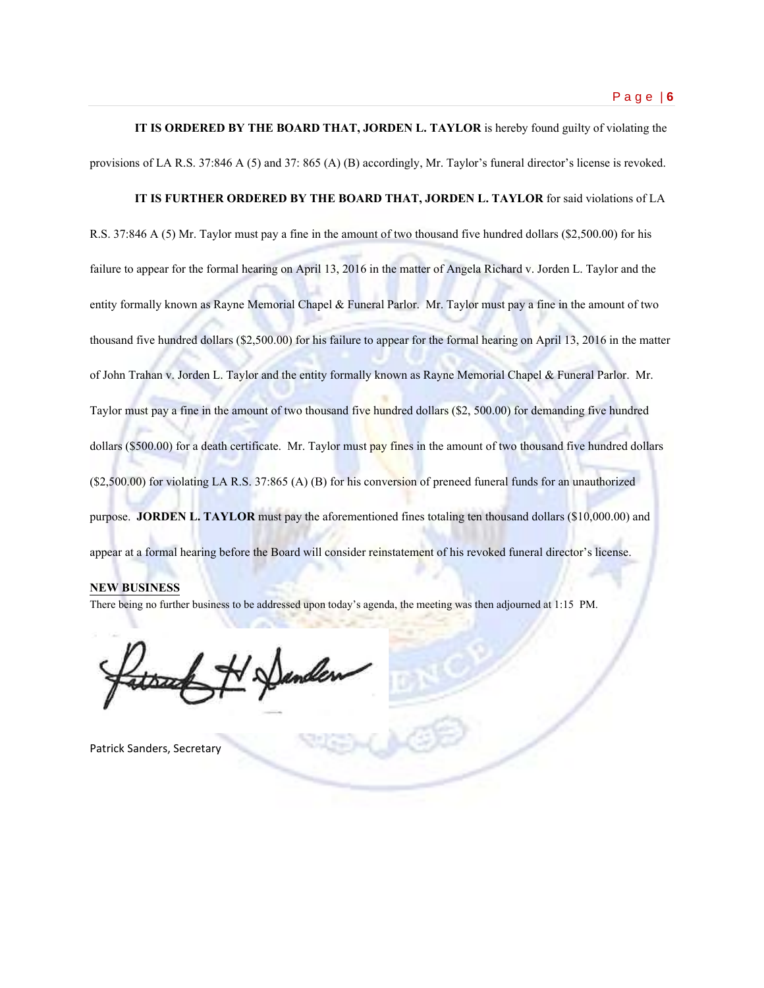**IT IS ORDERED BY THE BOARD THAT, JORDEN L. TAYLOR** is hereby found guilty of violating the provisions of LA R.S. 37:846 A (5) and 37: 865 (A) (B) accordingly, Mr. Taylor's funeral director's license is revoked.

# **IT IS FURTHER ORDERED BY THE BOARD THAT, JORDEN L. TAYLOR** for said violations of LA

R.S. 37:846 A (5) Mr. Taylor must pay a fine in the amount of two thousand five hundred dollars (\$2,500.00) for his failure to appear for the formal hearing on April 13, 2016 in the matter of Angela Richard v. Jorden L. Taylor and the entity formally known as Rayne Memorial Chapel & Funeral Parlor. Mr. Taylor must pay a fine in the amount of two thousand five hundred dollars (\$2,500.00) for his failure to appear for the formal hearing on April 13, 2016 in the matter of John Trahan v. Jorden L. Taylor and the entity formally known as Rayne Memorial Chapel & Funeral Parlor. Mr. Taylor must pay a fine in the amount of two thousand five hundred dollars (\$2, 500.00) for demanding five hundred dollars (\$500.00) for a death certificate. Mr. Taylor must pay fines in the amount of two thousand five hundred dollars (\$2,500.00) for violating LA R.S. 37:865 (A) (B) for his conversion of preneed funeral funds for an unauthorized purpose. **JORDEN L. TAYLOR** must pay the aforementioned fines totaling ten thousand dollars (\$10,000.00) and appear at a formal hearing before the Board will consider reinstatement of his revoked funeral director's license.

#### **NEW BUSINESS**

There being no further business to be addressed upon today's agenda, the meeting was then adjourned at 1:15 PM.

Patrick Sanders, Secretary